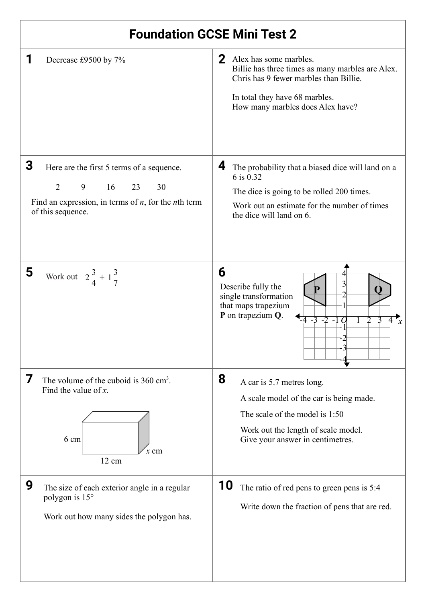| <b>Foundation GCSE Mini Test 2</b>                                                                                                                                             |                                                                                                                                                                                                              |  |  |  |
|--------------------------------------------------------------------------------------------------------------------------------------------------------------------------------|--------------------------------------------------------------------------------------------------------------------------------------------------------------------------------------------------------------|--|--|--|
| Decrease £9500 by 7%                                                                                                                                                           | 2 <sup>1</sup><br>Alex has some marbles.<br>Billie has three times as many marbles are Alex.<br>Chris has 9 fewer marbles than Billie.<br>In total they have 68 marbles.<br>How many marbles does Alex have? |  |  |  |
| 3<br>Here are the first 5 terms of a sequence.<br>$\overline{2}$<br>16<br>9<br>23<br>30<br>Find an expression, in terms of $n$ , for the <i>n</i> th term<br>of this sequence. | 4<br>The probability that a biased dice will land on a<br>6 is 0.32<br>The dice is going to be rolled 200 times.<br>Work out an estimate for the number of times<br>the dice will land on 6.                 |  |  |  |
| 5<br>Work out $2\frac{3}{4} + 1\frac{3}{7}$                                                                                                                                    | 6<br>Describe fully the<br>single transformation<br>that maps trapezium<br>P on trapezium Q.<br>-4 -3 -2 -1 C                                                                                                |  |  |  |
| 7<br>The volume of the cuboid is $360 \text{ cm}^3$ .<br>Find the value of $x$ .<br>6 cm<br>$x \,$ cm<br>12 cm                                                                 | 8<br>A car is 5.7 metres long.<br>A scale model of the car is being made.<br>The scale of the model is 1:50<br>Work out the length of scale model.<br>Give your answer in centimetres.                       |  |  |  |
| 9<br>The size of each exterior angle in a regular<br>polygon is 15°<br>Work out how many sides the polygon has.                                                                | 10<br>The ratio of red pens to green pens is 5:4<br>Write down the fraction of pens that are red.                                                                                                            |  |  |  |